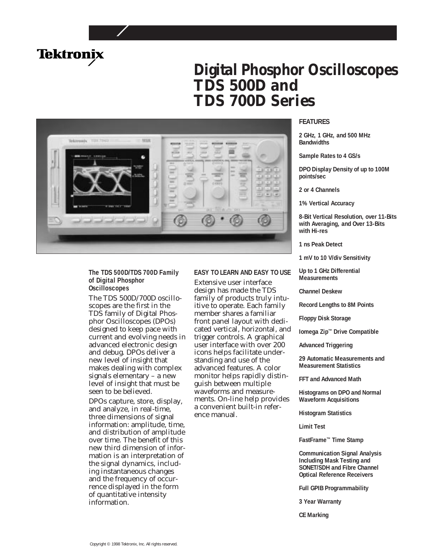

# **Digital Phosphor Oscilloscopes TDS 500D and TDS 700D Series**



## **The TDS 500D/TDS 700D Family of Digital Phosphor Oscilloscopes**

The TDS 500D/700D oscilloscopes are the first in the TDS family of Digital Phosphor Oscilloscopes (DPOs) designed to keep pace with current and evolving needs in advanced electronic design and debug. DPOs deliver a new level of insight that makes dealing with complex signals elementary – a new level of insight that must be seen to be believed.

DPOs capture, store, display, and analyze, in real-time, three dimensions of signal information: amplitude, time, and distribution of amplitude over time. The benefit of this new third dimension of information is an interpretation of the signal dynamics, including instantaneous changes and the frequency of occurrence displayed in the form of quantitative intensity information.

## **EASY TO LEARN AND EASY TO USE**

Extensive user interface design has made the TDS family of products truly intuitive to operate. Each family member shares a familiar front panel layout with dedicated vertical, horizontal, and trigger controls. A graphical user interface with over 200 icons helps facilitate understanding and use of the advanced features. A color monitor helps rapidly distinguish between multiple waveforms and measurements. On-line help provides a convenient built-in reference manual.

## **FEATURES**

**2 GHz, 1 GHz, and 500 MHz Bandwidths**

**Sample Rates to 4 GS/s**

**DPO Display Density of up to 100M points/sec**

**2 or 4 Channels**

**1% Vertical Accuracy**

**8-Bit Vertical Resolution, over 11-Bits with Averaging, and Over 13-Bits with Hi-res**

**1 ns Peak Detect**

**1 mV to 10 V/div Sensitivity**

**Up to 1 GHz Differential Measurements**

**Channel Deskew**

**Record Lengths to 8M Points**

**Floppy Disk Storage**

**Iomega Zip™ Drive Compatible**

**Advanced Triggering**

**29 Automatic Measurements and Measurement Statistics**

**FFT and Advanced Math**

**Histograms on DPO and Normal Waveform Acquisitions**

**Histogram Statistics**

**Limit Test**

**FastFrame™ Time Stamp**

**Communication Signal Analysis Including Mask Testing and SONET/SDH and Fibre Channel Optical Reference Receivers**

**Full GPIB Programmability**

**3 Year Warranty**

**CE Marking**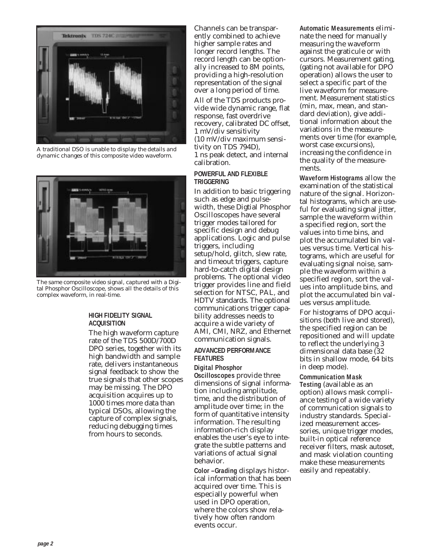

*A traditional DSO is unable to display the details and dynamic changes of this composite video waveform.*



*The same composite video signal, captured with a Digital Phosphor Oscilloscope, shows all the details of this complex waveform, in real-time.*

## **HIGH FIDELITY SIGNAL ACQUISITION**

The high waveform capture rate of the TDS 500D/700D DPO series, together with its high bandwidth and sample rate, delivers instantaneous signal feedback to show the true signals that other scopes may be missing. The DPO acquisition acquires up to 1000 times more data than typical DSOs, allowing the capture of complex signals, reducing debugging times from hours to seconds.

Channels can be transparently combined to achieve higher sample rates and longer record lengths. The record length can be optionally increased to 8M points, providing a high-resolution representation of the signal over a long period of time.

All of the TDS products provide wide dynamic range, flat response, fast overdrive recovery, calibrated DC offset, 1 mV/div sensitivity (10 mV/div maximum sensitivity on TDS 794D), 1 ns peak detect, and internal calibration.

## **POWERFUL AND FLEXIBLE TRIGGERING**

In addition to basic triggering such as edge and pulsewidth, these Digtial Phosphor Oscilloscopes have several trigger modes tailored for specific design and debug applications. Logic and pulse triggers, including setup/hold, glitch, slew rate, and timeout triggers, capture hard-to-catch digital design problems. The optional video trigger provides line and field selection for NTSC, PAL, and HDTV standards. The optional communications trigger capability addresses needs to acquire a wide variety of AMI, CMI, NRZ, and Ethernet communication signals.

## **ADVANCED PERFORMANCE FEATURES**

# **Digital Phosphor**

**Oscilloscopes** provide three dimensions of signal information including amplitude, time, and the distribution of amplitude over time; in the form of quantitative intensity information. The resulting information-rich display enables the user's eye to integrate the subtle patterns and variations of actual signal behavior.

**Color –Grading** displays historical information that has been acquired over time. This is especially powerful when used in DPO operation, where the colors show relatively how often random events occur.

**Automatic Measurements** eliminate the need for manually measuring the waveform against the graticule or with cursors. Measurement gating, (gating not available for DPO operation) allows the user to select a specific part of the live waveform for measurement. Measurement statistics (min, max, mean, and standard deviation), give additional information about the variations in the measurements over time (for example, worst case excursions), increasing the confidence in the quality of the measurements.

**Waveform Histograms** allow the examination of the statistical nature of the signal. Horizontal histograms, which are useful for evaluating signal jitter, sample the waveform within a specified region, sort the values into time bins, and plot the accumulated bin values versus time. Vertical histograms, which are useful for evaluating signal noise, sample the waveform within a specified region, sort the values into amplitude bins, and plot the accumulated bin val-<u>e</u><br>ues versus amplitude.

For histograms of DPO acquisitions (both live and stored), the specified region can be repositioned and will update to reflect the underlying 3 dimensional data base (32 bits in shallow mode, 64 bits in deep mode).

## **Communication Mask**

**Testing** (available as an option) allows mask compliance testing of a wide variety of communication signals to industry standards. Specialized measurement accessories, unique trigger modes, built-in optical reference receiver filters, mask autoset, and mask violation counting make these measurements easily and repeatably.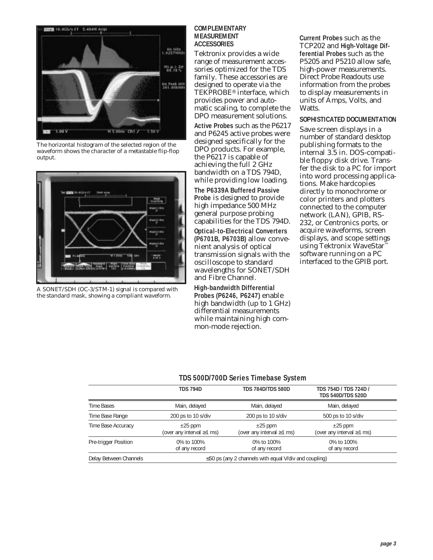

*The horizontal histogram of the selected region of the waveform shows the character of a metastable flip-flop output.*



*A SONET/SDH (OC-3/STM-1) signal is compared with the standard mask, showing a compliant waveform.*

## **COMPLEMENTARY MEASUREMENT ACCESSORIES**

Tektronix provides a wide range of measurement accessories optimized for the TDS family. These accessories are designed to operate via the TEKPROBE® interface, which provides power and automatic scaling, to complete the DPO measurement solutions.

**Active Probes** such as the P6217 and P6245 active probes were designed specifically for the DPO products. For example, the P6217 is capable of achieving the full 2 GHz bandwidth on a TDS 794D, while providing low loading. **The P6339A Buffered Passive Probe** is designed to provide high impedance 500 MHz general purpose probing capabilities for the TDS 794D.

**Optical-to-Electrical Converters (P6701B, P6703B)** allow convenient analysis of optical transmission signals with the oscilloscope to standard wavelengths for SONET/SDH and Fibre Channel.

**High-bandwidth Differential Probes (P6246, P6247)** enable high bandwidth (up to 1 GHz) differential measurements while maintaining high common-mode rejection.

**Current Probes** such as the TCP202 and **High-Voltage Differential Probes** such as the P5205 and P5210 allow safe, high-power measurements. Direct Probe Readouts use information from the probes to display measurements in units of Amps, Volts, and Watts.

## **SOPHISTICATED DOCUMENTATION**

Save screen displays in a number of standard desktop publishing formats to the internal 3.5 in. DOS-compatible floppy disk drive. Transfer the disk to a PC for import into word processing applications. Make hardcopies directly to monochrome or color printers and plotters connected to the computer network (LAN), GPIB, RS-232, or Centronics ports, or acquire waveforms, screen displays, and scope settings using Tektronix WaveStar<sup>™</sup> software running on a PC interfaced to the GPIB port.

# **TDS 500D/700D Series Timebase System**

|                        | <b>TDS 794D</b>                                             | <b>TDS 784D/TDS 580D</b>                        | TDS 754D / TDS 724D /<br><b>TDS 540D/TDS 520D</b> |  |
|------------------------|-------------------------------------------------------------|-------------------------------------------------|---------------------------------------------------|--|
| <b>Time Bases</b>      | Main, delayed                                               | Main, delayed                                   | Main, delayed                                     |  |
| Time Base Range        | 200 ps to 10 s/div                                          | 200 ps to 10 s/div                              | 500 ps to 10 s/div                                |  |
| Time Base Accuracy     | $\pm 25$ ppm<br>(over any interval $\geq$ 1 ms)             | $\pm 25$ ppm<br>(over any interval $\geq$ 1 ms) | $\pm 25$ ppm<br>(over any interval $\geq$ 1 ms)   |  |
| Pre-trigger Position   | 0% to 100%<br>0% to 100%<br>of any record<br>of any record  |                                                 | 0% to 100%<br>of any record                       |  |
| Delay Between Channels | $\leq$ 50 ps (any 2 channels with equal V/div and coupling) |                                                 |                                                   |  |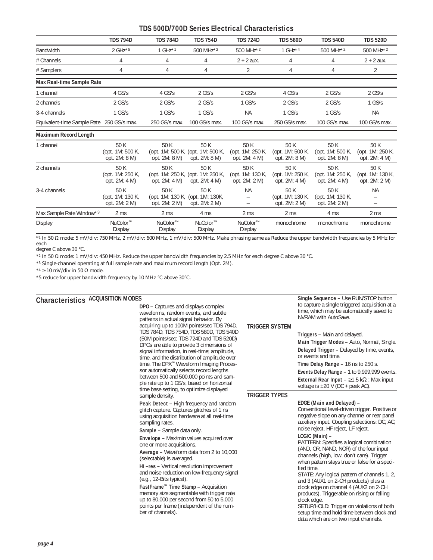# **TDS 500D/700D Series Electrical Characteristics**

|                                           | <b>TDS 794D</b>                           | <b>TDS 784D</b>                 | <b>TDS 754D</b>                                            | <b>TDS 724D</b>                           | <b>TDS 580D</b>                           | <b>TDS 540D</b>                           | <b>TDS 520D</b>                           |
|-------------------------------------------|-------------------------------------------|---------------------------------|------------------------------------------------------------|-------------------------------------------|-------------------------------------------|-------------------------------------------|-------------------------------------------|
| Bandwidth                                 | $2 GHz*5$                                 | $1$ GHz $*1$                    | 500 MHz <sup>*2</sup>                                      | 500 MHz <sup>*2</sup>                     | 1 $GHz*4$                                 | 500 MHz <sup>*2</sup>                     | 500 MHz <sup>*2</sup>                     |
| # Channels                                | 4                                         | 4                               | 4                                                          | $2 + 2$ aux.                              | 4                                         | 4                                         | $2 + 2$ aux.                              |
| # Samplers                                | 4                                         | 4                               | 4                                                          | 2                                         | 4                                         | 4                                         | 2                                         |
| Max Real-time Sample Rate                 |                                           |                                 |                                                            |                                           |                                           |                                           |                                           |
| 1 channel                                 | $4$ GS/s                                  | 4 GS/s                          | $2$ GS/s                                                   | $2$ GS/s                                  | 4 GS/s                                    | $2$ GS/s                                  | $2$ GS/s                                  |
| 2 channels                                | $2$ GS/s                                  | $2$ GS/s                        | $2$ GS/s                                                   | $1$ GS/s                                  | $2$ GS/s                                  | $2$ GS/s                                  | $1$ GS/s                                  |
| 3-4 channels                              | $1$ GS/s                                  | $1$ GS/s                        | $1$ GS/s                                                   | <b>NA</b>                                 | $1$ GS/s                                  | $1$ GS/s                                  | <b>NA</b>                                 |
| Equivalent-time Sample Rate 250 GS/s max. |                                           | 250 GS/s max.                   | 100 GS/s max.                                              | 100 GS/s max.                             | 250 GS/s max.                             | 100 GS/s max.                             | 100 GS/s max.                             |
| Maximum Record Length                     |                                           |                                 |                                                            |                                           |                                           |                                           |                                           |
| 1 channel                                 | 50 K<br>(opt. 1M: 500 K,<br>opt. 2M: 8 M) | 50 K<br>opt. 2M: 8 M)           | 50 K<br>(opt. 1M: 500 K, (opt. 1M: 500 K,<br>opt. 2M: 8 M) | 50 K<br>(opt. 1M: 250 K,<br>opt. 2M: 4 M) | 50 K<br>(opt. 1M: 500 K,<br>opt. 2M: 8 M) | 50 K<br>(opt. 1M: 500 K,<br>opt. 2M: 8 M) | 50 K<br>(opt. 1M: 250 K,<br>opt. 2M: 4 M) |
| 2 channels                                | 50 K<br>(opt. 1M: 250 K,<br>opt. 2M: 4 M) | 50 K<br>opt. $2M: 4M$           | 50 K<br>(opt. 1M: 250 K, (opt. 1M: 250 K,<br>opt. 2M: 4 M) | 50 K<br>(opt. 1M: 130 K.<br>opt. 2M: 2 M) | 50 K<br>(opt. 1M: 250 K.<br>opt. 2M: 4 M) | 50 K<br>(opt. 1M: 250 K.<br>opt. 2M: 4 M) | 50 K<br>(opt. 1M: 130 K,<br>opt. 2M: 2 M) |
| 3-4 channels                              | 50 K<br>(opt. 1M: 130 K,<br>opt. 2M: 2 M) | 50 K<br>opt. 2M: 2 M)           | 50 K<br>(opt. 1M: 130 K, (opt. 1M: 130K,<br>opt. 2M: 2 M)  | <b>NA</b>                                 | 50 K<br>(opt. 1M: 130 K,<br>opt. 2M: 2 M) | 50 K<br>(opt. 1M: 130 K,<br>opt. 2M: 2 M) | <b>NA</b>                                 |
| Max Sample Rate Window*3                  | 2 <sub>ms</sub>                           | 2 <sub>ms</sub>                 | 4 ms                                                       | 2 <sub>ms</sub>                           | 2 <sub>ms</sub>                           | 4 ms                                      | 2 <sub>ms</sub>                           |
| Display                                   | NuColor <sup>™</sup><br>Display           | NuColor <sup>™</sup><br>Display | NuColor <sup>™</sup><br>Display                            | NuColor <sup>™</sup><br>Display           | monochrome                                | monochrome                                | monochrome                                |

*\*1 In 50* Ω *mode: 5 mV/div: 750 MHz, 2 mV/div: 600 MHz, 1 mV/div: 500 MHz. Make phrasing same as Reduce the upper bandwidth frequencies by 5 MHz for each* 

*degree C above 30 °C.*

*\*2 In 50* Ω *mode: 1 mV/div: 450 MHz. Reduce the upper bandwidth frequencies by 2.5 MHz for each degree C above 30 °C.*

*\*3 Single-channel operating at full sample rate and maximum record length (Opt. 2M).*

*\*4* ≥ *10 mV/div in 50* Ω *mode.*

*\*5 reduce for upper bandwidth frequency by 10 MHz °C above 30°C.*

# **ACQUISITION MODES Characteristics**

| S                                                                                                                                                                                                                                                                                                                                                                                                                                                                                                                  |                       | <b>Single Sequence - Use RUN/STOP button</b>                                                                                                                                                                                                                                                                                                                                                                                                                                                                                                        |
|--------------------------------------------------------------------------------------------------------------------------------------------------------------------------------------------------------------------------------------------------------------------------------------------------------------------------------------------------------------------------------------------------------------------------------------------------------------------------------------------------------------------|-----------------------|-----------------------------------------------------------------------------------------------------------------------------------------------------------------------------------------------------------------------------------------------------------------------------------------------------------------------------------------------------------------------------------------------------------------------------------------------------------------------------------------------------------------------------------------------------|
| <b>DPO -</b> Captures and displays complex<br>waveforms, random events, and subtle<br>patterns in actual signal behavior. By                                                                                                                                                                                                                                                                                                                                                                                       |                       | to capture a single triggered acquisition at a<br>time, which may be automatically saved to<br>NVRAM with AutoSave.                                                                                                                                                                                                                                                                                                                                                                                                                                 |
| acquiring up to 100M points/sec TDS 794D,<br>TDS 784D, TDS 754D, TDS 580D, TDS 540D<br>(50M points/sec; TDS 724D and TDS 520D)<br>DPOs are able to provide 3 dimensions of<br>signal information, in real-time; amplitude,<br>time, and the distribution of amplitude over<br>time. The DPX <sup>™</sup> Waveform Imaging Proces-<br>sor automatically selects record lengths<br>between 500 and 500,000 points and sam-<br>ple rate up to 1 GS/s, based on horizontal<br>time base setting, to optimize displayed | <b>TRIGGER SYSTEM</b> | Triggers - Main and delayed.<br>Main Trigger Modes - Auto, Normal, Single.<br><b>Delayed Trigger - Delayed by time, events,</b><br>or events and time.<br>Time Delay Range $-16$ ns to 250 s.<br><b>Events Delay Range - 1 to 9,999,999 events.</b><br><b>External Rear Input – </b> $\geq$ 1.5 k $\Omega$ ; Max input<br>voltage is $\pm 20$ V (DC + peak AC).                                                                                                                                                                                     |
| sample density.                                                                                                                                                                                                                                                                                                                                                                                                                                                                                                    | <b>TRIGGER TYPES</b>  |                                                                                                                                                                                                                                                                                                                                                                                                                                                                                                                                                     |
| <b>Peak Detect - High frequency and random</b><br>glitch capture. Captures glitches of 1 ns<br>using acquisition hardware at all real-time<br>sampling rates.                                                                                                                                                                                                                                                                                                                                                      |                       | EDGE (Main and Delayed) -<br>Conventional level-driven trigger. Positive or<br>negative slope on any channel or rear panel<br>auxiliary input. Coupling selections: DC, AC,<br>noise reject, HF reject, LF reject.                                                                                                                                                                                                                                                                                                                                  |
| Sample - Sample data only.<br><b>Envelope - Max/min values acquired over</b><br>one or more acquisitions.<br>Average - Waveform data from 2 to 10,000<br>(selectable) is averaged.<br>Hi-res - Vertical resolution improvement<br>and noise reduction on low-frequency signal<br>$(e.g., 12-Bits typical)$ .<br>FastFrame™ Time Stamp - Acquisition<br>memory size segmentable with trigger rate<br>up to 80,000 per second from 50 to 5,000<br>points per frame (independent of the num-<br>ber of channels).     |                       | LOGIC (Main) -<br>PATTERN: Specifies a logical combination<br>(AND, OR, NAND, NOR) of the four input<br>channels (high, low, don't care). Trigger<br>when pattern stays true or false for a speci-<br>fied time.<br>STATE: Any logical pattern of channels 1, 2,<br>and 3 (AUX1 on 2-CH products) plus a<br>clock edge on channel 4 (AUX2 on 2-CH<br>products). Triggerable on rising or falling<br>clock edge.<br>SETUP/HOLD: Trigger on violations of both<br>setup time and hold time between clock and<br>data which are on two input channels. |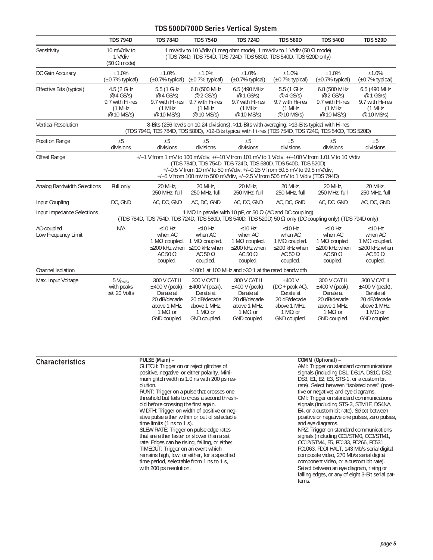# **TDS 500D/700D Series Vertical System**

|                                   | <b>TDS 794D</b>                                                                                                                                                                                                                                                                                                              | <b>TDS 784D</b>                                                                                                                                    | <b>TDS 754D</b>                                                                                                       | <b>TDS 724D</b>                                                                                                  | <b>TDS 580D</b>                                                                                                | <b>TDS 540D</b>                                                                                                  | <b>TDS 520D</b>                                                                                                  |
|-----------------------------------|------------------------------------------------------------------------------------------------------------------------------------------------------------------------------------------------------------------------------------------------------------------------------------------------------------------------------|----------------------------------------------------------------------------------------------------------------------------------------------------|-----------------------------------------------------------------------------------------------------------------------|------------------------------------------------------------------------------------------------------------------|----------------------------------------------------------------------------------------------------------------|------------------------------------------------------------------------------------------------------------------|------------------------------------------------------------------------------------------------------------------|
| Sensitivity                       | 10 mV/div to<br>1 V/div<br>$(50 \Omega \text{ mode})$                                                                                                                                                                                                                                                                        | 1 mV/div to 10 V/div (1 meg ohm mode), 1 mV/div to 1 V/div (50 $\Omega$ mode)<br>(TDS 784D, TDS 754D, TDS 724D, TDS 580D, TDS 540D, TDS 520D only) |                                                                                                                       |                                                                                                                  |                                                                                                                |                                                                                                                  |                                                                                                                  |
| DC Gain Accuracy                  | ±1.0%<br>$(\pm 0.7\%$ typical)                                                                                                                                                                                                                                                                                               | ±1.0%<br>$(\pm 0.7\%$ typical)                                                                                                                     | ±1.0%<br>$(\pm 0.7\%$ typical)                                                                                        | ±1.0%<br>$(\pm 0.7\%$ typical)                                                                                   | ±1.0%<br>$(\pm 0.7\%$ typical)                                                                                 | ±1.0%<br>$(\pm 0.7\%$ typical)                                                                                   | ±1.0%<br>$(\pm 0.7\%$ typical)                                                                                   |
| Effective Bits (typical)          | 4.5 (2 GHz<br>@ 4 GS/s)<br>9.7 with Hi-res<br>(1 MHz)<br>@ 10 MS/s)                                                                                                                                                                                                                                                          | 5.5 (1 GHz<br>@ 4 GS/s)<br>9.7 with Hi-res<br>(1 MHz)<br>@ 10 MS/s)                                                                                | 6.8 (500 MHz<br>@ 2 GS/s)<br>9.7 with Hi-res<br>(1 MHz<br>@ 10 MS/s)                                                  | 6.5 (490 MHz<br>@ 1 GS/s)<br>9.7 with Hi-res<br>(1 MHz)<br>@ 10 MS/s)                                            | 5.5 (1 GHz<br>@ 4 GS/s)<br>9.7 with Hi-res<br>(1 MHz<br>@ 10 MS/s)                                             | 6.8 (500 MHz<br>@ 2 GS/s)<br>9.7 with Hi-res<br>(1 MHz)<br>@ 10 MS/s)                                            | 6.5 (490 MHz<br>@ 1 GS/s)<br>9.7 with Hi-res<br>(1 MHz)<br>@ 10 MS/s)                                            |
| <b>Vertical Resolution</b>        | 8-Bits (256 levels on 10.24 divisions), >11-Bits with averaging, >13-Bits typical with Hi-res<br>(TDS 794D, TDS 784D, TDS 580D), >12-Bits typical with Hi-res (TDS 754D, TDS 724D, TDS 540D, TDS 520D)                                                                                                                       |                                                                                                                                                    |                                                                                                                       |                                                                                                                  |                                                                                                                |                                                                                                                  |                                                                                                                  |
| <b>Position Range</b>             | ±5<br>divisions                                                                                                                                                                                                                                                                                                              | ±5<br>divisions                                                                                                                                    | ±5<br>divisions                                                                                                       | ±5<br>divisions                                                                                                  | ±5<br>divisions                                                                                                | ±5<br>divisions                                                                                                  | ±5<br>divisions                                                                                                  |
| Offset Range                      | +/-1 V from 1 mV to 100 mV/div, +/-10 V from 101 mV to 1 V/div, +/-100 V from 1.01 V to 10 V/div<br>(TDS 784D, TDS 754D, TDS 724D, TDS 580D, TDS 540D, TDS 520D)<br>+/-0.5 V from 10 mV to 50 mV/div, +/-0.25 V from 50.5 mV to 99.5 mV/div,<br>+/-5 V from 100 mV to 500 mV/div, +/-2.5 V from 505 mV to 1 V/div (TDS 794D) |                                                                                                                                                    |                                                                                                                       |                                                                                                                  |                                                                                                                |                                                                                                                  |                                                                                                                  |
| Analog Bandwidth Selections       | Full only                                                                                                                                                                                                                                                                                                                    | 20 MHz.<br>250 MHz, full                                                                                                                           | 20 MHz,<br>250 MHz, full                                                                                              | 20 MHz.<br>250 MHz, full                                                                                         | 20 MHz,<br>250 MHz, full                                                                                       | 20 MHz,<br>250 MHz, full                                                                                         | 20 MHz,<br>250 MHz, full                                                                                         |
| Input Coupling                    | DC, GND                                                                                                                                                                                                                                                                                                                      | AC, DC, GND                                                                                                                                        | AC, DC, GND                                                                                                           | AC, DC, GND                                                                                                      | AC, DC, GND                                                                                                    | AC, DC, GND                                                                                                      | AC, DC, GND                                                                                                      |
| Input Impedance Selections        | 1 M $\Omega$ in parallel with 10 pF, or 50 $\Omega$ (AC and DC coupling)<br>(TDS 784D, TDS 754D, TDS 724D, TDS 580D, TDS 540D, TDS 520D) 50 $\Omega$ only (DC coupling only) (TDS 794D only)                                                                                                                                 |                                                                                                                                                    |                                                                                                                       |                                                                                                                  |                                                                                                                |                                                                                                                  |                                                                                                                  |
| AC-coupled<br>Low Frequency Limit | N/A                                                                                                                                                                                                                                                                                                                          | $≤10$ Hz<br>when AC<br>1 M $\Omega$ coupled.<br>AC 50 $\Omega$<br>coupled.                                                                         | $≤10$ Hz<br>when AC<br>1 M $\Omega$ coupled.<br>$\leq$ 200 kHz when $\leq$ 200 kHz when<br>AC 50 $\Omega$<br>coupled. | $≤10$ Hz<br>when AC<br>1 M $\Omega$ coupled.<br>$\leq$ 200 kHz when<br>AC 50 $\Omega$<br>coupled.                | $≤10$ Hz<br>when AC<br>1 M $\Omega$ coupled.<br>$\leq$ 200 kHz when<br>AC 50 $\Omega$<br>coupled.              | $≤10$ Hz<br>when AC<br>1 M $\Omega$ coupled.<br>$\leq$ 200 kHz when<br>AC 50 $\Omega$<br>coupled.                | $≤10$ Hz<br>when AC<br>1 M $\Omega$ coupled.<br>$\leq$ 200 kHz when<br>AC 50 $\Omega$<br>coupled.                |
| <b>Channel Isolation</b>          | >100:1 at 100 MHz and >30:1 at the rated bandwidth                                                                                                                                                                                                                                                                           |                                                                                                                                                    |                                                                                                                       |                                                                                                                  |                                                                                                                |                                                                                                                  |                                                                                                                  |
| Max. Input Voltage                | 5V <sub>RMS</sub><br>with peaks<br>$\leq$ ± 20 Volts                                                                                                                                                                                                                                                                         | 300 V CAT II<br>$±400$ V (peak).<br>Derate at<br>20 dB/decade<br>above 1 MHz.<br>1 M $\Omega$ or<br>GND coupled.                                   | 300 V CAT II<br>$±400$ V (peak).<br>Derate at<br>20 dB/decade<br>above 1 MHz.<br>1 M $\Omega$ or<br>GND coupled.      | 300 V CAT II<br>$±400$ V (peak).<br>Derate at<br>20 dB/decade<br>above 1 MHz.<br>1 M $\Omega$ or<br>GND coupled. | $±400$ V<br>$(DC + peak AC)$ .<br>Derate at<br>20 dB/decade<br>above 1 MHz.<br>1 M $\Omega$ or<br>GND coupled. | 300 V CAT II<br>$±400$ V (peak).<br>Derate at<br>20 dB/decade<br>above 1 MHz.<br>1 M $\Omega$ or<br>GND coupled. | 300 V CAT II<br>$±400$ V (peak).<br>Derate at<br>20 dB/decade<br>above 1 MHz.<br>1 M $\Omega$ or<br>GND coupled. |

| <b>Characteristics</b> | PULSE (Main) -                                 | COMM (Optional) -                                          |
|------------------------|------------------------------------------------|------------------------------------------------------------|
|                        | GLITCH: Trigger on or reject glitches of       | AMI: Trigger on standard communications                    |
|                        | positive, negative, or either polarity. Mini-  | signals (including DS1, DS1A, DS1C, DS2,                   |
|                        | mum glitch width is 1.0 ns with 200 ps res-    | DS3, E1, E2, E3, STS-1, or a custom bit                    |
|                        | olution.                                       | rate). Select between "isolated ones" (posi-               |
|                        | RUNT: Trigger on a pulse that crosses one      | tive or negative) and eye diagrams.                        |
|                        | threshold but fails to cross a second thresh-  | CMI: Trigger on standard communications                    |
|                        | old before crossing the first again.           | signals (including STS-3, STM1E, DS4NA,                    |
|                        | WIDTH: Trigger on width of positive or neg-    | E4, or a custom bit rate). Select between                  |
|                        | ative pulse either within or out of selectable | positive or negative one pulses, zero pulses,              |
|                        | time limits $(1 \text{ ns to } 1 \text{ s}).$  | and eye diagrams.                                          |
|                        | SLEW RATE: Trigger on pulse edge rates         | NRZ: Trigger on standard communications                    |
|                        | that are either faster or slower than a set    | signals (including OC1/STM0, OC3/STM1,                     |
|                        | rate. Edges can be rising, falling, or either. | OC12/STM4, E5, FC133, FC266, FC531,                        |
|                        | TIMEOUT: Trigger on an event which             | FC1063, FDDI HALT, 143 Mb/s serial digital                 |
|                        | remains high, low, or either, for a specified  | composite video, 270 Mb/s serial digital                   |
|                        | time period, selectable from 1 ns to 1 s,      | component video, or a custom bit rate).                    |
|                        | with 200 ps resolution.                        | Select between an eye diagram, rising or                   |
|                        |                                                | falling edges, or any of eight 3-Bit serial pat-<br>terns. |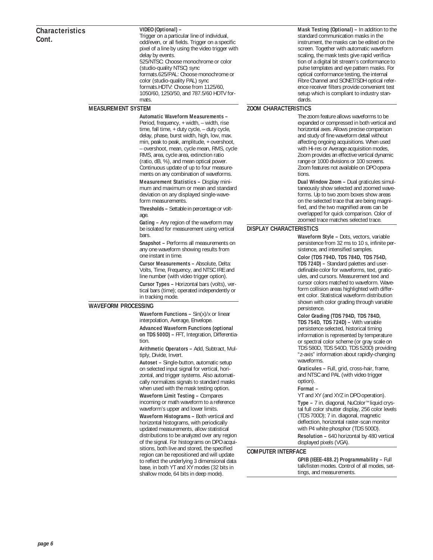#### **VIDEO (Optional) –**

Trigger on a particular line of individual, odd/even, or all fields. Trigger on a specific pixel of a line by using the video trigger with delay by events. 525/NTSC: Choose monochrome or color (studio-quality NTSC) sync formats.625/PAL: Choose monochrome or color (studio-quality PAL) sync formats.HDTV: Choose from 1125/60, 1050/60, 1250/50, and 787.5/60 HDTV formats.

#### **MEASUREMENT SYSTEM**

#### **Automatic Waveform Measurements –**

Period, frequency, + width, – width, rise time, fall time, + duty cycle, – duty cycle, delay, phase, burst width, high, low, max. min, peak to peak, amplitude, + overshoot, – overshoot, mean, cycle mean, RMS, cycle RMS, area, cycle area, extinction ratio (ratio, dB, %), and mean optical power. Continuous update of up to four measurements on any combination of waveforms.

**Measurement Statistics –** Display minimum and maximum or mean and standard deviation on any displayed single-waveform measurements.

**Thresholds –** Settable in percentage or voltage.

**Gating –** Any region of the waveform may be isolated for measurement using vertical bars.

**Snapshot –** Performs all measurements on any one waveform showing results from one instant in time.

**Cursor Measurements –** Absolute, Delta: Volts, Time, Frequency, and NTSC IRE and line number (with video trigger option).

**Cursor Types –** Horizontal bars (volts), vertical bars (time); operated independently or in tracking mode.

#### **WAVEFORM PROCESSING**

**Waveform Functions –** Sin(x)/x or linear interpolation, Average, Envelope. **Advanced Waveform Functions (optional on TDS 500D) –** FFT, Integration, Differentia-

tion. **Arithmetic Operators –** Add, Subtract, Mul-

tiply, Divide, Invert. **Autoset –** Single-button, automatic setup

on selected input signal for vertical, horizontal, and trigger systems. Also automatically normalizes signals to standard masks when used with the mask testing option.

**Waveform Limit Testing –** Compares incoming or math waveform to a reference waveform's upper and lower limits.

**Waveform Histograms –** Both vertical and horizontal histograms, with periodically updated measurements, allow statistical distributions to be analyzed over any region of the signal. For histograms on DPO acquisitions, both live and stored, the specified region can be repositioned and will update to reflect the underlying 3 dimensional data base, in both YT and XY modes (32 bits in shallow mode, 64 bits in deep mode).

**Mask Testing (Optional) –** In addition to the standard communication masks in the instrument, the masks can be edited on the screen. Together with automatic waveform scaling, the mask tests give rapid verification of a digital bit stream's conformance to pulse templates and eye pattern masks. For optical conformance testing, the internal Fibre Channel and SONET/SDH optical reference receiver filters provide convenient test setup which is compliant to industry standards.

## **ZOOM CHARACTERISTICS**

The zoom feature allows waveforms to be expanded or compressed in both vertical and horizontal axes. Allows precise comparison and study of fine waveform detail without affecting ongoing acquisitions. When used with Hi-res or Average acquisition modes, Zoom provides an effective vertical dynamic range or 1000 divisions or 100 screens. Zoom features not available on DPO operations.

**Dual Window Zoom –** Dual graticules simultaneously show selected and zoomed waveforms. Up to two zoom boxes show areas on the selected trace that are being magnified, and the two magnified areas can be overlapped for quick comparison. Color of zoomed trace matches selected trace.

#### **DISPLAY CHARACTERISTICS**

**Waveform Style –** Dots, vectors, variable persistence from 32 ms to 10 s, infinite persistence, and intensified samples.

**Color (TDS 794D, TDS 784D, TDS 754D, TDS 724D) –** Standard palettes and userdefinable color for waveforms, text, graticules, and cursors. Measurement text and cursor colors matched to waveform. Waveform collision areas highlighted with different color. Statistical waveform distribution shown with color grading through variable persistence.

#### **Color Grading (TDS 794D, TDS 784D, TDS 754D, TDS 724D) –** With variable

persistence selected, historical timing information is represented by temperature or spectral color scheme (or gray scale on TDS 580D, TDS 540D, TDS 520D) providing "z-axis" information about rapidly-changing waveforms.

**Graticules –** Full, grid, cross-hair, frame, and NTSC and PAL (with video trigger option).

#### **Format –**

YT and XY (and XYZ in DPO operation).

**Type –** 7 in. diagonal, NuColor™ liquid crystal full color shutter display, 256 color levels (TDS 700D); 7 in. diagonal, magnetic deflection, horizontal raster-scan monitor with P4 white phosphor (TDS 500D). **Resolution –** 640 horizontal by 480 vertical displayed pixels (VGA).

#### **COMPUTER INTERFACE**

**GPIB (IEEE-488.2) Programmability –** Full talk/listen modes. Control of all modes, settings, and measurements.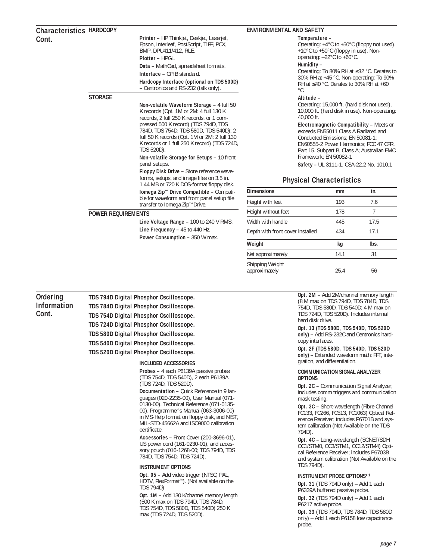## **HARDCOPY Characteristics Cont.**

**Printer –** HP Thinkjet, Deskjet, Laserjet, Epson, Interleaf, PostScript, TIFF, PCX, BMP, DPU411/412, RLE. **Plotter –** HPGL.

**Data –** MathCad, spreadsheet formats. **Interface –** GPIB standard.

**Hardcopy Interface (optional on TDS 500D) –** Centronics and RS-232 (talk only).

## **STORAGE**

**Non-volatile Waveform Storage –** 4 full 50 K records (Opt. 1M or 2M: 4 full 130 K records, 2 full 250 K records, or 1 compressed 500 K record) (TDS 794D, TDS 784D, TDS 754D, TDS 580D, TDS 540D); 2 full 50 K records (Opt. 1M or 2M: 2 full 130 K records or 1 full 250 K record) (TDS 724D, TDS 520D).

#### **Non-volatile Storage for Setups –** 10 front panel setups.

**Floppy Disk Drive –** Store reference waveforms, setups, and image files on 3.5 in. 1.44 MB or 720 K DOS-format floppy disk.

**Iomega Zip™ Drive Compatible –** Compatible for waveform and front panel setup file transfer to Iomega Zip™ Drive.

## **POWER REQUIREMENTS**

**Line Voltage Range –** 100 to 240 V RMS. **Line Frequency –** 45 to 440 Hz. **Power Consumption - 350 W max.** 

#### **ENVIRONMENTAL AND SAFETY**

#### **Temperature –**

Operating: +4°C to +50°C (floppy not used), +10°C to +50°C (floppy in use). Nonoperating: –22°C to +60°C.

#### **Humidity –**

Operating: To 80% RH at ≤32 °C. Derates to 30% RH at +45 °C. Non-operating: To 90% RH at ≤40 °C. Derates to 30% RH at +60 °C.

#### **Altitude –**

Operating: 15,000 ft. (hard disk not used), 10,000 ft. (hard disk in use). Non-operating: 40,000 ft.

**Electromagnetic Compatibility –** Meets or exceeds EN55011 Class A Radiated and Conducted Emissions; EN 50081-1; EN60555-2 Power Harmonics; FCC 47 CFR, Part 15. Subpart B, Class A; Australian EMC Framework; EN 50082-1

**Safety –** UL 3111-1, CSA-22.2 No. 1010.1

# **Physical Characteristics**

| <b>Dimensions</b>                | mm   | in.  |
|----------------------------------|------|------|
| Height with feet                 | 193  | 7.6  |
| Height without feet              | 178  | 7    |
| Width with handle                | 445  | 17.5 |
| Depth with front cover installed | 434  | 17.1 |
| Weight                           | kq   | lbs. |
| Net approximately                | 14.1 | 31   |
| Shipping Weight<br>approximately | 25.4 | 56   |

**Ordering Information Cont.**

**TDS 794D Digital Phosphor Oscilloscope. TDS 784D Digital Phosphor Oscilloscope. TDS 754D Digital Phosphor Oscilloscope. TDS 724D Digital Phosphor Oscilloscope. TDS 580D Digital Phosphor Oscilloscope. TDS 540D Digital Phosphor Oscilloscope. TDS 520D Digital Phosphor Oscilloscope.**

#### **INCLUDED ACCESSORIES**

**Probes –** 4 each P6139A passive probes (TDS 754D, TDS 540D), 2 each P6139A (TDS 724D, TDS 520D).

**Documentation –** Quick Reference in 9 languages (020-2235-00), User Manual (071- 0130-00), Technical Reference (071-0135- 00), Programmer's Manual (063-3006-00) in MS-Help format on floppy disk, and NIST, MIL-STD-45662A and ISO9000 calibration certificate.

**Accessories –** Front Cover (200-3696-01), US power cord (161-0230-01), and accessory pouch (016-1268-00; TDS 794D, TDS 784D, TDS 754D, TDS 724D).

#### **INSTRUMENT OPTIONS**

**Opt. 05 –** Add video trigger (NTSC, PAL, HDTV, FlexFormat™). (Not available on the TDS 794D)

**Opt. 1M –** Add 130 K/channel memory length (500 K max on TDS 794D, TDS 784D, TDS 754D, TDS 580D, TDS 540D) 250 K max (TDS 724D, TDS 520D).

**Opt. 2M –** Add 2M/channel memory length (8 M max on TDS 794D, TDS 784D, TDS 754D, TDS 580D, TDS 540D; 4 M max on TDS 724D, TDS 520D). Includes internal hard disk drive.

**Opt. 13 (TDS 580D, TDS 540D, TDS 520D only) –** Add RS-232C and Centronics hardcopy interfaces.

**Opt. 2F (TDS 580D, TDS 540D, TDS 520D only) –** Extended waveform math: FFT, integration, and differentiation.

#### **COMMUNICATION SIGNAL ANALYZER OPTIONS**

**Opt. 2C – Communication Signal Analyzer;** includes comm triggers and communication mask testing.

**Opt. 3C –** Short-wavelength (Fibre Channel FC133, FC266, FC513, FC1063) Optical Reference Receiver; includes P6701B and system calibration (Not Available on the TDS 794D).

**Opt. 4C –** Long-wavelength (SONET/SDH OC1/STM0, OC3/STM1, OC12/STM4) Optical Reference Receiver; includes P6703B and system calibration (Not Available on the TDS 794D).

#### **INSTRUMENT PROBE OPTIONS\*1**

**Opt. 31** (TDS 794D only) – Add 1 each P6339A buffered passive probe.

**Opt. 32** (TDS 794D only) – Add 1 each P6217 active probe.

**Opt. 33** (TDS 794D, TDS 784D, TDS 580D only) – Add 1 each P6158 low capacitance probe.